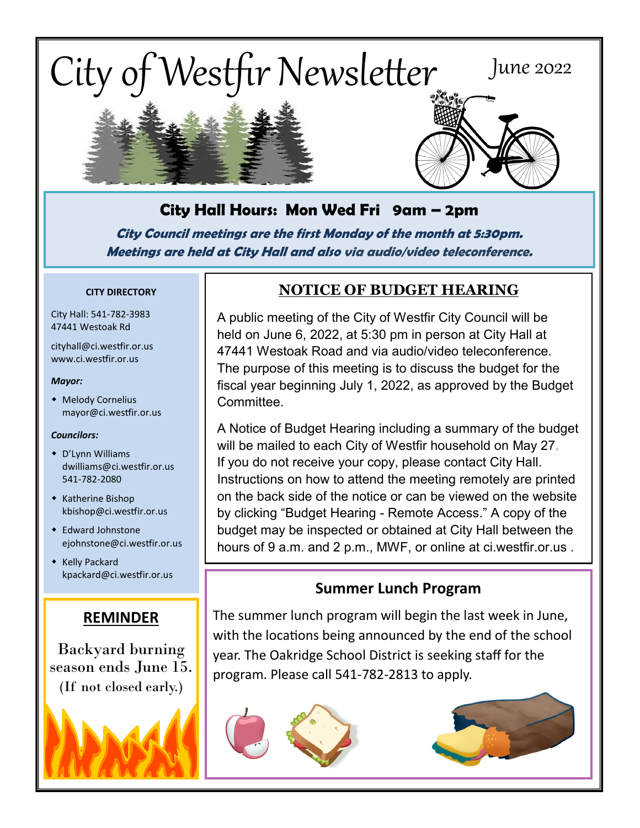

# **City Hall Hours: Mon Wed Fri 9am – 2pm**

**City Council meetings are the first Monday of the month at 5:30pm. Meetings are held at City Hall and also via audio/video teleconference.**

#### **CITY DIRECTORY**

City Hall: 541-782-3983 47441 Westoak Rd

cityhall@ci.westfir.or.us www.ci.westfir.or.us

#### *Mayor:*

 Melody Cornelius mayor@ci.westfir.or.us

#### *Councilors:*

- D'Lynn Williams dwilliams@ci.westfir.or.us 541-782-2080
- Katherine Bishop kbishop@ci.westfir.or.us
- Edward Johnstone ejohnstone@ci.westfir.or.us
- **\*** Kelly Packard kpackard@ci.westfir.or.us

#### **REMINDER**

Backyard burning season ends June 15. (If not closed early.)

## **NOTICE OF BUDGET HEARING**

A public meeting of the City of Westfir City Council will be held on June 6, 2022, at 5:30 pm in person at City Hall at 47441 Westoak Road and via audio/video teleconference. The purpose of this meeting is to discuss the budget for the fiscal year beginning July 1, 2022, as approved by the Budget Committee.

A Notice of Budget Hearing including a summary of the budget will be mailed to each City of Westfir household on May 27. If you do not receive your copy, please contact City Hall. Instructions on how to attend the meeting remotely are printed on the back side of the notice or can be viewed on the website by clicking "Budget Hearing - Remote Access." A copy of the budget may be inspected or obtained at City Hall between the hours of 9 a.m. and 2 p.m., MWF, or online at ci.westfir.or.us .

## **Summer Lunch Program**

The summer lunch program will begin the last week in June, with the locations being announced by the end of the school year. The Oakridge School District is seeking staff for the program. Please call 541-782-2813 to apply.